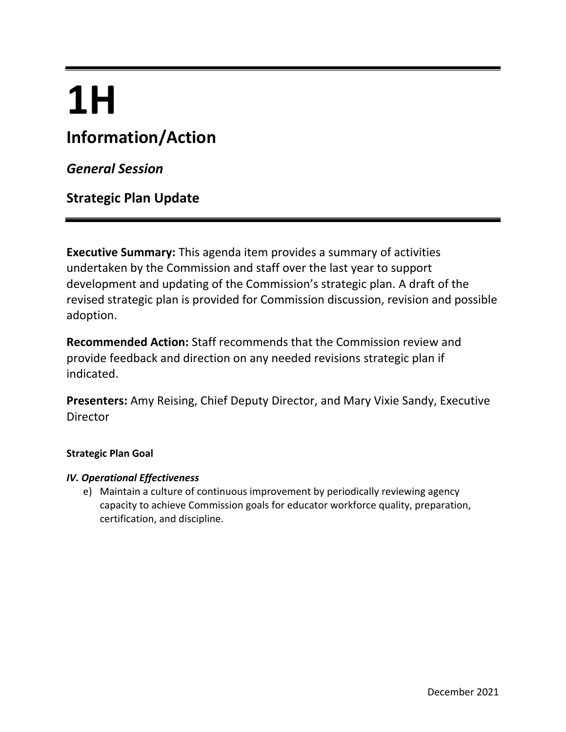# **1H**

# **Information/Action**

*General Session*

**Strategic Plan Update**

**Executive Summary:** This agenda item provides a summary of activities undertaken by the Commission and staff over the last year to support development and updating of the Commission's strategic plan. A draft of the revised strategic plan is provided for Commission discussion, revision and possible adoption.

**Recommended Action:** Staff recommends that the Commission review and provide feedback and direction on any needed revisions strategic plan if indicated.

**Presenters:** Amy Reising, Chief Deputy Director, and Mary Vixie Sandy, Executive Director

#### **Strategic Plan Goal**

#### *IV. Operational Effectiveness*

e) Maintain a culture of continuous improvement by periodically reviewing agency capacity to achieve Commission goals for educator workforce quality, preparation, certification, and discipline.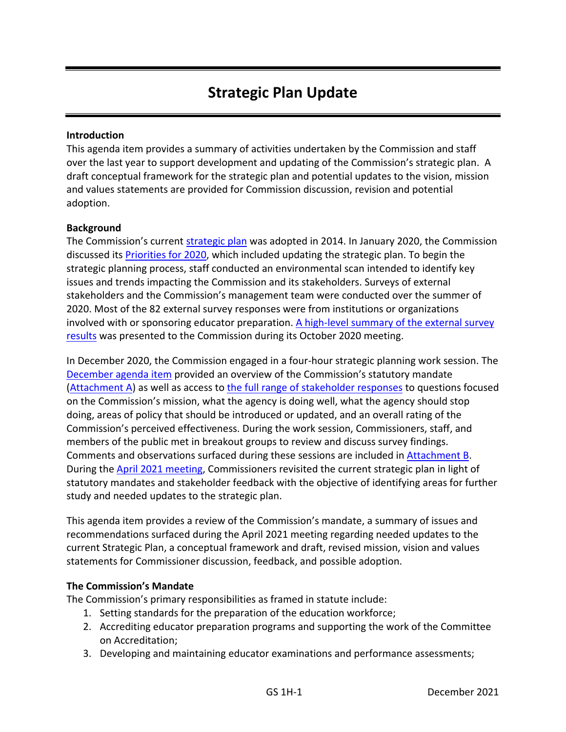# **Strategic Plan Update**

#### **Introduction**

This agenda item provides a summary of activities undertaken by the Commission and staff over the last year to support development and updating of the Commission's strategic plan. A draft conceptual framework for the strategic plan and potential updates to the vision, mission and values statements are provided for Commission discussion, revision and potential adoption.

#### **Background**

The Commission's current [strategic plan](https://www.ctc.ca.gov/docs/default-source/commission/files/vmg.pdf?sfvrsn=da43318b_4) was adopted in 2014. In January 2020, the Commission discussed its [Priorities for 2020,](https://www.ctc.ca.gov/docs/default-source/commission/agendas/2020-01/2020-01-1h.pdf?sfvrsn=17ac2cb1_4) which included updating the strategic plan. To begin the strategic planning process, staff conducted an environmental scan intended to identify key issues and trends impacting the Commission and its stakeholders. Surveys of external stakeholders and the Commission's management team were conducted over the summer of 2020. Most of the 82 external survey responses were from institutions or organizations involved with or sponsoring educator preparation. [A high-level summary of the external survey](https://www.ctc.ca.gov/docs/default-source/commission/agendas/2020-10/2020-10-1h.pdf?sfvrsn=5e232eb1_2)  [results](https://www.ctc.ca.gov/docs/default-source/commission/agendas/2020-10/2020-10-1h.pdf?sfvrsn=5e232eb1_2) was presented to the Commission during its October 2020 meeting.

In December 2020, the Commission engaged in a four-hour strategic planning work session. The [December agenda item](https://www.ctc.ca.gov/docs/default-source/commission/agendas/2020-12/2020-12-1a.pdf?sfvrsn=8e2f28b1_2) provided an overview of the Commission's statutory mandate [\(Attachment A\)](#page-10-0) as well as access t[o the full range of stakeholder responses](https://www.ctc.ca.gov/docs/default-source/commission/agendas/2020-12/2020-12-1a-insert.pdf?sfvrsn=d22128b1_12) to questions focused on the Commission's mission, what the agency is doing well, what the agency should stop doing, areas of policy that should be introduced or updated, and an overall rating of the Commission's perceived effectiveness. During the work session, Commissioners, staff, and members of the public met in breakout groups to review and discuss survey findings. Comments and observations surfaced during these sessions are included in Attachment B. During the [April 2021 meeting,](https://www.ctc.ca.gov/docs/default-source/commission/agendas/2021-04/2021-04-2a.pdf?sfvrsn=aa382bb1_8) Commissioners revisited the current strategic plan in light of statutory mandates and stakeholder feedback with the objective of identifying areas for further study and needed updates to the strategic plan.

This agenda item provides a review of the Commission's mandate, a summary of issues and recommendations surfaced during the April 2021 meeting regarding needed updates to the current Strategic Plan, a conceptual framework and draft, revised mission, vision and values statements for Commissioner discussion, feedback, and possible adoption.

#### **The Commission's Mandate**

The Commission's primary responsibilities as framed in statute include:

- 1. Setting standards for the preparation of the education workforce;
- 2. Accrediting educator preparation programs and supporting the work of the Committee on Accreditation;
- 3. Developing and maintaining educator examinations and performance assessments;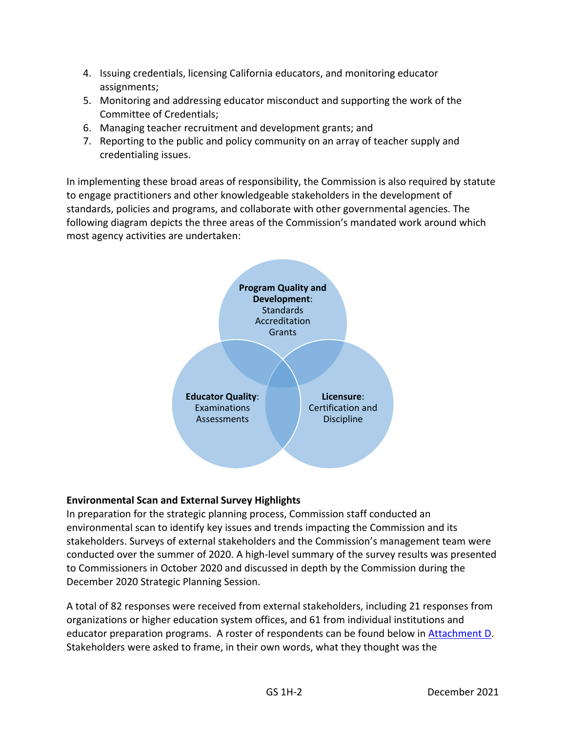- 4. Issuing credentials, licensing California educators, and monitoring educator assignments;
- 5. Monitoring and addressing educator misconduct and supporting the work of the Committee of Credentials;
- 6. Managing teacher recruitment and development grants; and
- 7. Reporting to the public and policy community on an array of teacher supply and credentialing issues.

In implementing these broad areas of responsibility, the Commission is also required by statute to engage practitioners and other knowledgeable stakeholders in the development of standards, policies and programs, and collaborate with other governmental agencies. The following diagram depicts the three areas of the Commission's mandated work around which most agency activities are undertaken:



#### **Environmental Scan and External Survey Highlights**

In preparation for the strategic planning process, Commission staff conducted an environmental scan to identify key issues and trends impacting the Commission and its stakeholders. Surveys of external stakeholders and the Commission's management team were conducted over the summer of 2020. A high-level summary of the survey results was presented to Commissioners in October 2020 and discussed in depth by the Commission during the December 2020 Strategic Planning Session.

A total of 82 responses were received from external stakeholders, including 21 responses from organizations or higher education system offices, and 61 from individual institutions and educator preparation programs. A roster of respondents can be found below in [Attachment D.](#page-21-0) Stakeholders were asked to frame, in their own words, what they thought was the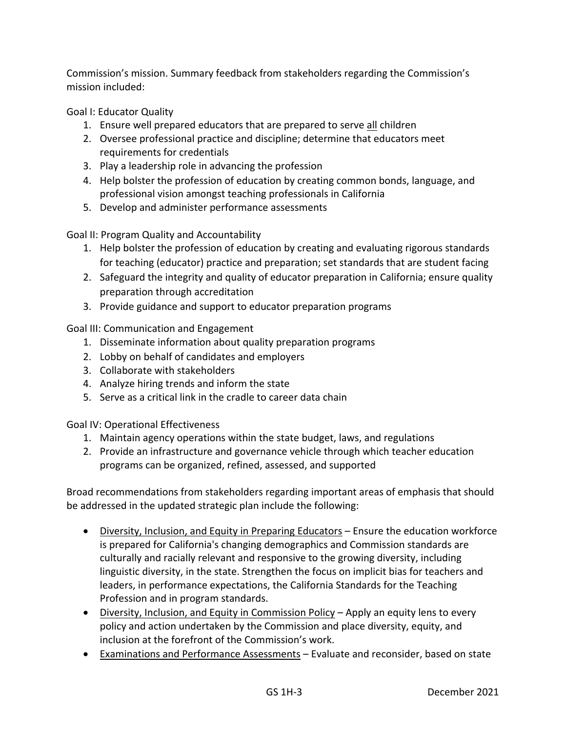Commission's mission. Summary feedback from stakeholders regarding the Commission's mission included:

Goal I: Educator Quality

- 1. Ensure well prepared educators that are prepared to serve all children
- 2. Oversee professional practice and discipline; determine that educators meet requirements for credentials
- 3. Play a leadership role in advancing the profession
- 4. Help bolster the profession of education by creating common bonds, language, and professional vision amongst teaching professionals in California
- 5. Develop and administer performance assessments

Goal II: Program Quality and Accountability

- 1. Help bolster the profession of education by creating and evaluating rigorous standards for teaching (educator) practice and preparation; set standards that are student facing
- 2. Safeguard the integrity and quality of educator preparation in California; ensure quality preparation through accreditation
- 3. Provide guidance and support to educator preparation programs

Goal III: Communication and Engagement

- 1. Disseminate information about quality preparation programs
- 2. Lobby on behalf of candidates and employers
- 3. Collaborate with stakeholders
- 4. Analyze hiring trends and inform the state
- 5. Serve as a critical link in the cradle to career data chain

Goal IV: Operational Effectiveness

- 1. Maintain agency operations within the state budget, laws, and regulations
- 2. Provide an infrastructure and governance vehicle through which teacher education programs can be organized, refined, assessed, and supported

Broad recommendations from stakeholders regarding important areas of emphasis that should be addressed in the updated strategic plan include the following:

- Diversity, Inclusion, and Equity in Preparing Educators Ensure the education workforce is prepared for California's changing demographics and Commission standards are culturally and racially relevant and responsive to the growing diversity, including linguistic diversity, in the state. Strengthen the focus on implicit bias for teachers and leaders, in performance expectations, the California Standards for the Teaching Profession and in program standards.
- Diversity, Inclusion, and Equity in Commission Policy Apply an equity lens to every policy and action undertaken by the Commission and place diversity, equity, and inclusion at the forefront of the Commission's work.
- Examinations and Performance Assessments Evaluate and reconsider, based on state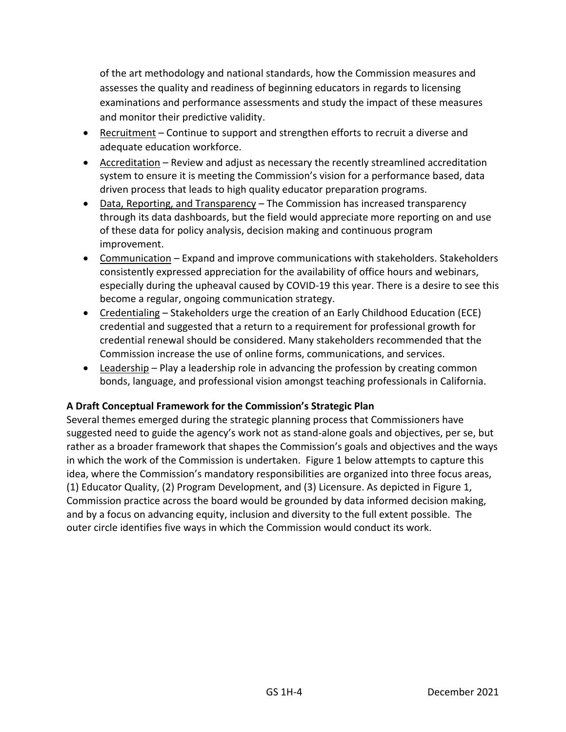of the art methodology and national standards, how the Commission measures and assesses the quality and readiness of beginning educators in regards to licensing examinations and performance assessments and study the impact of these measures and monitor their predictive validity.

- Recruitment Continue to support and strengthen efforts to recruit a diverse and adequate education workforce.
- Accreditation Review and adjust as necessary the recently streamlined accreditation system to ensure it is meeting the Commission's vision for a performance based, data driven process that leads to high quality educator preparation programs.
- Data, Reporting, and Transparency The Commission has increased transparency through its data dashboards, but the field would appreciate more reporting on and use of these data for policy analysis, decision making and continuous program improvement.
- Communication Expand and improve communications with stakeholders. Stakeholders consistently expressed appreciation for the availability of office hours and webinars, especially during the upheaval caused by COVID-19 this year. There is a desire to see this become a regular, ongoing communication strategy.
- Credentialing Stakeholders urge the creation of an Early Childhood Education (ECE) credential and suggested that a return to a requirement for professional growth for credential renewal should be considered. Many stakeholders recommended that the Commission increase the use of online forms, communications, and services.
- Leadership Play a leadership role in advancing the profession by creating common bonds, language, and professional vision amongst teaching professionals in California.

#### **A Draft Conceptual Framework for the Commission's Strategic Plan**

Several themes emerged during the strategic planning process that Commissioners have suggested need to guide the agency's work not as stand-alone goals and objectives, per se, but rather as a broader framework that shapes the Commission's goals and objectives and the ways in which the work of the Commission is undertaken. Figure 1 below attempts to capture this idea, where the Commission's mandatory responsibilities are organized into three focus areas, (1) Educator Quality, (2) Program Development, and (3) Licensure. As depicted in Figure 1, Commission practice across the board would be grounded by data informed decision making, and by a focus on advancing equity, inclusion and diversity to the full extent possible. The outer circle identifies five ways in which the Commission would conduct its work.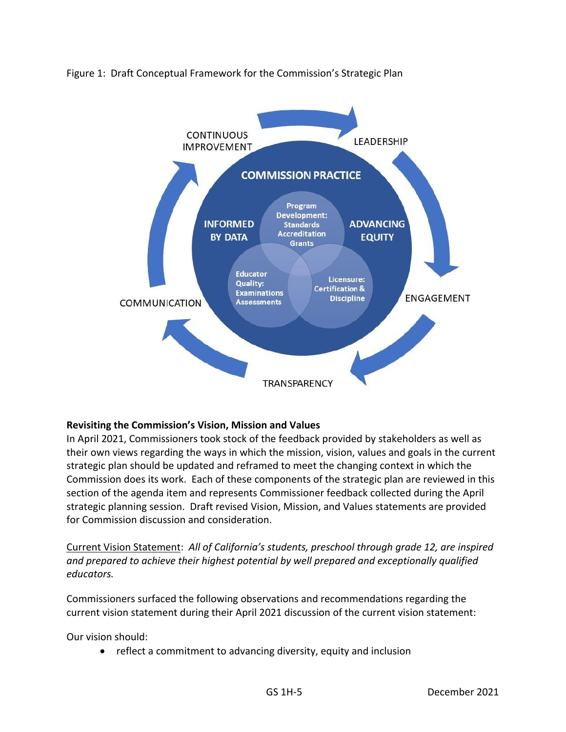

Figure 1: Draft Conceptual Framework for the Commission's Strategic Plan

#### **Revisiting the Commission's Vision, Mission and Values**

In April 2021, Commissioners took stock of the feedback provided by stakeholders as well as their own views regarding the ways in which the mission, vision, values and goals in the current strategic plan should be updated and reframed to meet the changing context in which the Commission does its work. Each of these components of the strategic plan are reviewed in this section of the agenda item and represents Commissioner feedback collected during the April strategic planning session. Draft revised Vision, Mission, and Values statements are provided for Commission discussion and consideration.

Current Vision Statement:*All of California's students, preschool through grade 12, are inspired and prepared to achieve their highest potential by well prepared and exceptionally qualified educators.* 

Commissioners surfaced the following observations and recommendations regarding the current vision statement during their April 2021 discussion of the current vision statement:

Our vision should:

• reflect a commitment to advancing diversity, equity and inclusion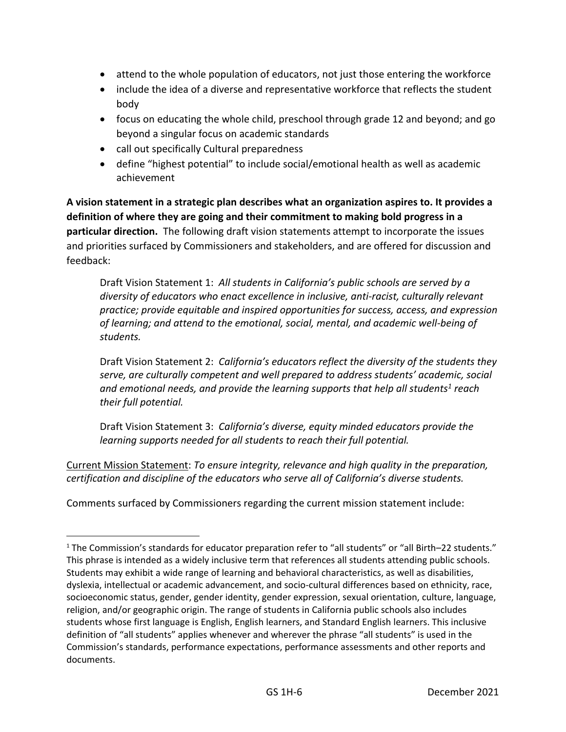- attend to the whole population of educators, not just those entering the workforce
- include the idea of a diverse and representative workforce that reflects the student body
- focus on educating the whole child, preschool through grade 12 and beyond; and go beyond a singular focus on academic standards
- call out specifically Cultural preparedness
- define "highest potential" to include social/emotional health as well as academic achievement

**A vision statement in a strategic plan describes what an organization aspires to. It provides a definition of where they are going and their commitment to making bold progress in a particular direction.** The following draft vision statements attempt to incorporate the issues and priorities surfaced by Commissioners and stakeholders, and are offered for discussion and feedback:

Draft Vision Statement 1: *All students in California's public schools are served by a diversity of educators who enact excellence in inclusive, anti-racist, culturally relevant practice; provide equitable and inspired opportunities for success, access, and expression of learning; and attend to the emotional, social, mental, and academic well-being of students.* 

Draft Vision Statement 2: *California's educators reflect the diversity of the students they serve, are culturally competent and well prepared to address students' academic, social and emotional needs, and provide the learning supports that help all students<sup>1</sup> reach their full potential.*

Draft Vision Statement 3: *California's diverse, equity minded educators provide the learning supports needed for all students to reach their full potential.*

Current Mission Statement: *To ensure integrity, relevance and high quality in the preparation, certification and discipline of the educators who serve all of California's diverse students.*

Comments surfaced by Commissioners regarding the current mission statement include:

<sup>1</sup> The Commission's standards for educator preparation refer to "all students" or "all Birth–22 students." This phrase is intended as a widely inclusive term that references all students attending public schools. Students may exhibit a wide range of learning and behavioral characteristics, as well as disabilities, dyslexia, intellectual or academic advancement, and socio-cultural differences based on ethnicity, race, socioeconomic status, gender, gender identity, gender expression, sexual orientation, culture, language, religion, and/or geographic origin. The range of students in California public schools also includes students whose first language is English, English learners, and Standard English learners. This inclusive definition of "all students" applies whenever and wherever the phrase "all students" is used in the Commission's standards, performance expectations, performance assessments and other reports and documents.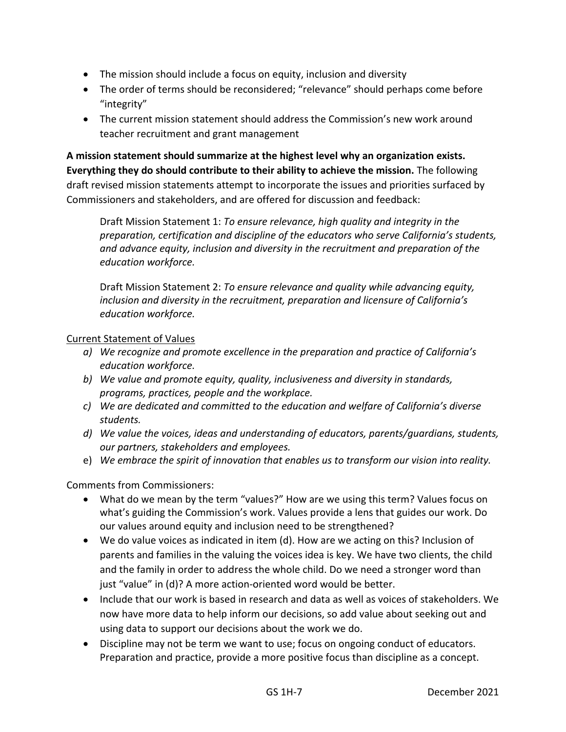- The mission should include a focus on equity, inclusion and diversity
- The order of terms should be reconsidered; "relevance" should perhaps come before "integrity"
- The current mission statement should address the Commission's new work around teacher recruitment and grant management

**A mission statement should summarize at the highest level why an organization exists. Everything they do should contribute to their ability to achieve the mission.** The following draft revised mission statements attempt to incorporate the issues and priorities surfaced by Commissioners and stakeholders, and are offered for discussion and feedback:

Draft Mission Statement 1: *To ensure relevance, high quality and integrity in the preparation, certification and discipline of the educators who serve California's students, and advance equity, inclusion and diversity in the recruitment and preparation of the education workforce.*

Draft Mission Statement 2: *To ensure relevance and quality while advancing equity, inclusion and diversity in the recruitment, preparation and licensure of California's education workforce.*

#### Current Statement of Values

- *a) We recognize and promote excellence in the preparation and practice of California's education workforce.*
- *b) We value and promote equity, quality, inclusiveness and diversity in standards, programs, practices, people and the workplace.*
- *c) We are dedicated and committed to the education and welfare of California's diverse students.*
- *d) We value the voices, ideas and understanding of educators, parents/guardians, students, our partners, stakeholders and employees.*
- e) *We embrace the spirit of innovation that enables us to transform our vision into reality.*

#### Comments from Commissioners:

- What do we mean by the term "values?" How are we using this term? Values focus on what's guiding the Commission's work. Values provide a lens that guides our work. Do our values around equity and inclusion need to be strengthened?
- We do value voices as indicated in item (d). How are we acting on this? Inclusion of parents and families in the valuing the voices idea is key. We have two clients, the child and the family in order to address the whole child. Do we need a stronger word than just "value" in (d)? A more action-oriented word would be better.
- Include that our work is based in research and data as well as voices of stakeholders. We now have more data to help inform our decisions, so add value about seeking out and using data to support our decisions about the work we do.
- Discipline may not be term we want to use; focus on ongoing conduct of educators. Preparation and practice, provide a more positive focus than discipline as a concept.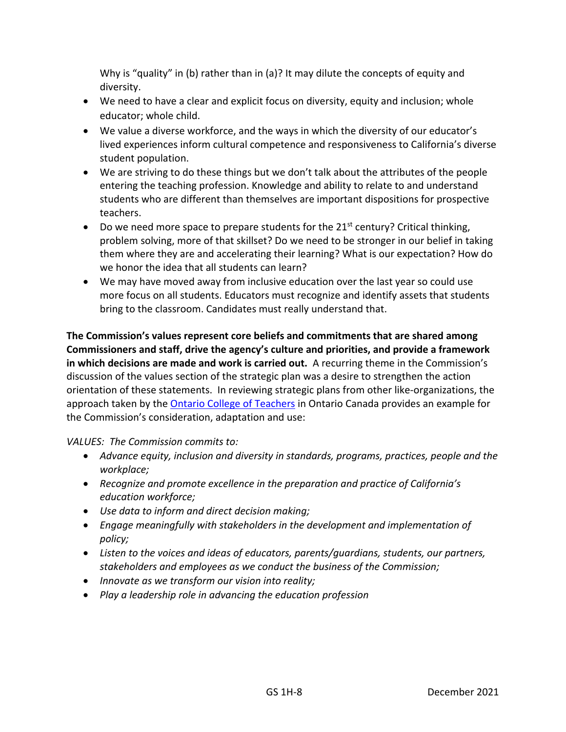Why is "quality" in (b) rather than in (a)? It may dilute the concepts of equity and diversity.

- We need to have a clear and explicit focus on diversity, equity and inclusion; whole educator; whole child.
- We value a diverse workforce, and the ways in which the diversity of our educator's lived experiences inform cultural competence and responsiveness to California's diverse student population.
- We are striving to do these things but we don't talk about the attributes of the people entering the teaching profession. Knowledge and ability to relate to and understand students who are different than themselves are important dispositions for prospective teachers.
- Do we need more space to prepare students for the  $21^{st}$  century? Critical thinking, problem solving, more of that skillset? Do we need to be stronger in our belief in taking them where they are and accelerating their learning? What is our expectation? How do we honor the idea that all students can learn?
- We may have moved away from inclusive education over the last year so could use more focus on all students. Educators must recognize and identify assets that students bring to the classroom. Candidates must really understand that.

**The Commission's values represent core beliefs and commitments that are shared among Commissioners and staff, drive the agency's culture and priorities, and provide a framework in which decisions are made and work is carried out.** A recurring theme in the Commission's discussion of the values section of the strategic plan was a desire to strengthen the action orientation of these statements. In reviewing strategic plans from other like-organizations, the approach taken by the [Ontario College of Teachers](https://www.oct.ca/about-the-college/mission-vision-values) in Ontario Canada provides an example for the Commission's consideration, adaptation and use:

#### *VALUES: The Commission commits to:*

- *Advance equity, inclusion and diversity in standards, programs, practices, people and the workplace;*
- *Recognize and promote excellence in the preparation and practice of California's education workforce;*
- *Use data to inform and direct decision making;*
- *Engage meaningfully with stakeholders in the development and implementation of policy;*
- *Listen to the voices and ideas of educators, parents/guardians, students, our partners, stakeholders and employees as we conduct the business of the Commission;*
- *Innovate as we transform our vision into reality;*
- *Play a leadership role in advancing the education profession*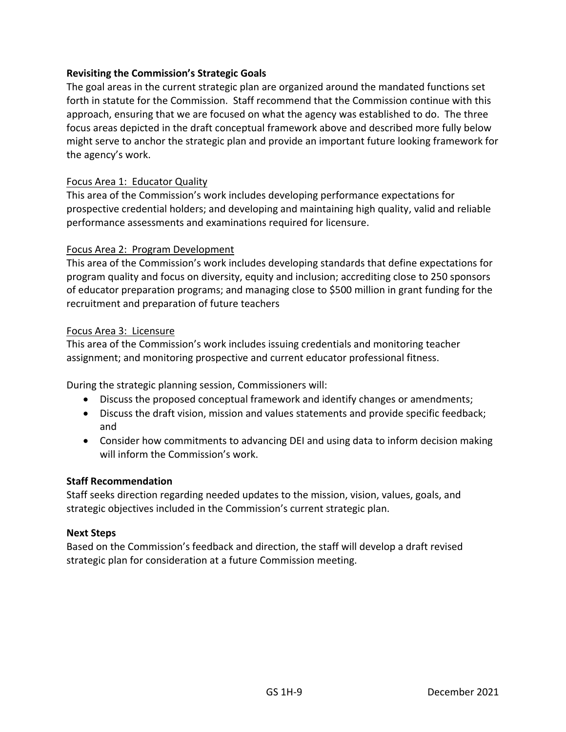#### **Revisiting the Commission's Strategic Goals**

The goal areas in the current strategic plan are organized around the mandated functions set forth in statute for the Commission. Staff recommend that the Commission continue with this approach, ensuring that we are focused on what the agency was established to do. The three focus areas depicted in the draft conceptual framework above and described more fully below might serve to anchor the strategic plan and provide an important future looking framework for the agency's work.

#### Focus Area 1: Educator Quality

This area of the Commission's work includes developing performance expectations for prospective credential holders; and developing and maintaining high quality, valid and reliable performance assessments and examinations required for licensure.

#### Focus Area 2: Program Development

This area of the Commission's work includes developing standards that define expectations for program quality and focus on diversity, equity and inclusion; accrediting close to 250 sponsors of educator preparation programs; and managing close to \$500 million in grant funding for the recruitment and preparation of future teachers

#### Focus Area 3: Licensure

This area of the Commission's work includes issuing credentials and monitoring teacher assignment; and monitoring prospective and current educator professional fitness.

During the strategic planning session, Commissioners will:

- Discuss the proposed conceptual framework and identify changes or amendments;
- Discuss the draft vision, mission and values statements and provide specific feedback; and
- Consider how commitments to advancing DEI and using data to inform decision making will inform the Commission's work.

#### **Staff Recommendation**

Staff seeks direction regarding needed updates to the mission, vision, values, goals, and strategic objectives included in the Commission's current strategic plan.

#### **Next Steps**

Based on the Commission's feedback and direction, the staff will develop a draft revised strategic plan for consideration at a future Commission meeting.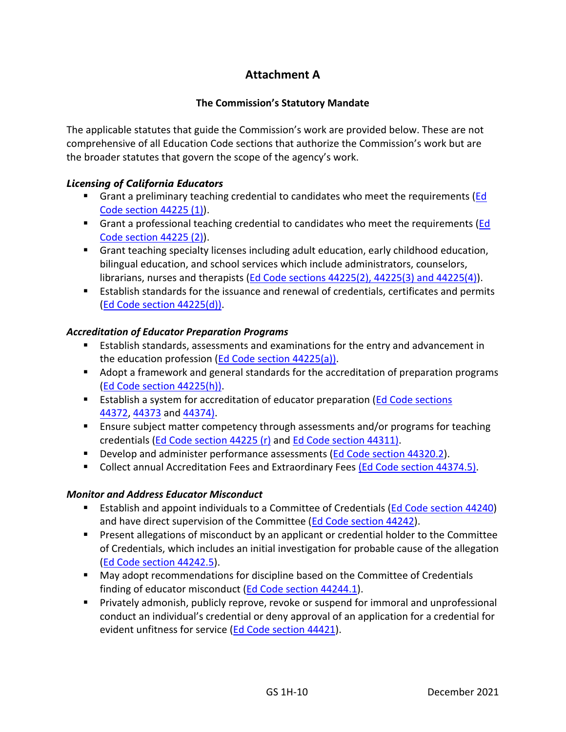# **Attachment A**

#### **The Commission's Statutory Mandate**

<span id="page-10-0"></span>The applicable statutes that guide the Commission's work are provided below. These are not comprehensive of all Education Code sections that authorize the Commission's work but are the broader statutes that govern the scope of the agency's work.

#### *Licensing of California Educators*

- **E** Grant a preliminary teaching credential to candidates who meet the requirements (Ed Code [section 44225 \(1\)\)](http://leginfo.legislature.ca.gov/faces/codes_displaySection.xhtml?sectionNum=44225.&lawCode=EDC).
- **EXTER** Grant a professional teaching credential to candidates who meet the requirements (*Ed* Code [section 44225 \(2\)\)](http://leginfo.legislature.ca.gov/faces/codes_displaySection.xhtml?sectionNum=44225.&lawCode=EDC).
- **•** Grant teaching specialty licenses including adult education, early childhood education, bilingual education, and school services which include administrators, counselors, librarians, nurses and therapists (Ed Code sections [44225\(2\), 44225\(3\) and 44225\(4\)\)](http://leginfo.legislature.ca.gov/faces/codes_displaySection.xhtml?sectionNum=44225.&lawCode=EDC).
- Establish standards for the issuance and renewal of credentials, certificates and permits (Ed Code [section 44225\(d\)\)](http://leginfo.legislature.ca.gov/faces/codes_displaySection.xhtml?sectionNum=44225.&lawCode=EDC).

#### *Accreditation of Educator Preparation Programs*

- Establish standards, assessments and examinations for the entry and advancement in the education profession (Ed Code [section 44225\(a\)\)](http://leginfo.legislature.ca.gov/faces/codes_displaySection.xhtml?sectionNum=44225.&lawCode=EDC).
- Adopt a framework and general standards for the accreditation of preparation programs (Ed Code [section 44225\(h\)\)](http://leginfo.legislature.ca.gov/faces/codes_displaySection.xhtml?sectionNum=44225.&lawCode=EDC).
- **E** Establish a system for accreditation of educator preparation (Ed Code sections [44372,](http://leginfo.legislature.ca.gov/faces/codes_displaySection.xhtml?sectionNum=44372.&lawCode=EDC) [44373](http://leginfo.legislature.ca.gov/faces/codes_displaySection.xhtml?sectionNum=44373.&lawCode=EDC) and [44374\)](http://leginfo.legislature.ca.gov/faces/codes_displaySection.xhtml?sectionNum=44374.&lawCode=EDC).
- Ensure subject matter competency through assessments and/or programs for teaching credentials (Ed Code [section 44225 \(r\)](http://leginfo.legislature.ca.gov/faces/codes_displaySection.xhtml?sectionNum=44225.&lawCode=EDC) and Ed Code [section 44311\)](http://leginfo.legislature.ca.gov/faces/codes_displaySection.xhtml?sectionNum=44311.&lawCode=EDC).
- Develop and administer performance assessments [\(Ed Code](http://leginfo.legislature.ca.gov/faces/codes_displaySection.xhtml?sectionNum=44320.2.&lawCode=EDC) section 44320.2).
- Collect annual Accreditation Fees and Extraordinary Fees (Ed Code section [44374.5\).](http://leginfo.legislature.ca.gov/faces/codes_displaySection.xhtml?sectionNum=44374.5.&lawCode=EDC)

#### *Monitor and Address Educator Misconduct*

- Establish and appoint individuals to a Committee of Credentials (Ed Code [section 44240\)](http://leginfo.legislature.ca.gov/faces/codes_displaySection.xhtml?lawCode=EDC§ionNum=44240.) and have direct supervision of the Committee (Ed Code [section 44242\)](http://leginfo.legislature.ca.gov/faces/codes_displaySection.xhtml?sectionNum=44242.&lawCode=EDC).
- Present allegations of misconduct by an applicant or credential holder to the Committee of Credentials, which includes an initial investigation for probable cause of the allegation (Ed Code [section 44242.5\)](http://leginfo.legislature.ca.gov/faces/codes_displaySection.xhtml?sectionNum=44242.5.&lawCode=EDC).
- May adopt recommendations for discipline based on the Committee of Credentials finding of educator misconduct (Ed Code [section 44244.1\)](http://leginfo.legislature.ca.gov/faces/codes_displaySection.xhtml?sectionNum=44244.1.&lawCode=EDC).
- Privately admonish, publicly reprove, revoke or suspend for immoral and unprofessional conduct an individual's credential or deny approval of an application for a credential for evident unfitness for service (Ed Code [section 44421\)](http://leginfo.legislature.ca.gov/faces/codes_displaySection.xhtml?sectionNum=44421.&lawCode=EDC).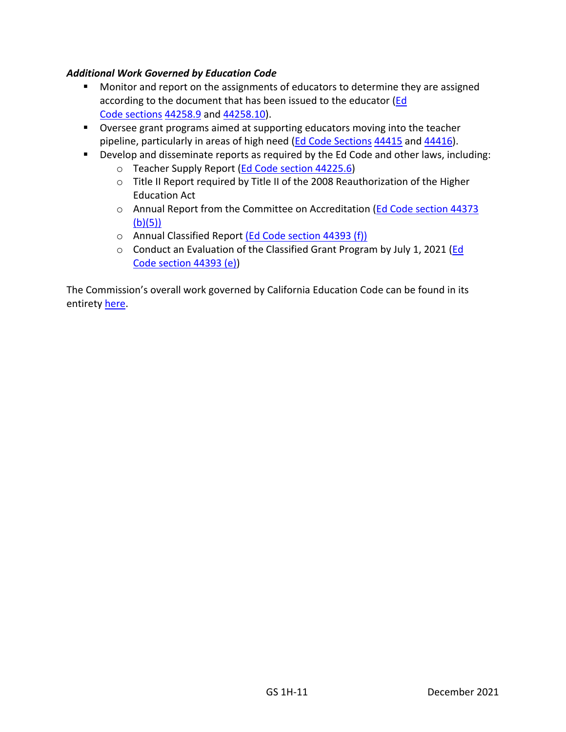#### *Additional Work Governed by Education Code*

- Monitor and report on the assignments of educators to determine they are assigned according to the document that has been issued to the educator [\(Ed](http://leginfo.legislature.ca.gov/faces/codes_displaySection.xhtml?sectionNum=44258.9.&lawCode=EDC) Code [sections](http://leginfo.legislature.ca.gov/faces/codes_displaySection.xhtml?sectionNum=44258.9.&lawCode=EDC) [44258.9](http://leginfo.legislature.ca.gov/faces/codes_displaySection.xhtml?sectionNum=44258.9.&lawCode=EDC) and [44258.10\)](http://leginfo.legislature.ca.gov/faces/codes_displaySection.xhtml?sectionNum=44258.10.&lawCode=EDC).
- Oversee grant programs aimed at supporting educators moving into the teacher pipeline, particularly in areas of high need [\(Ed Code Sections](http://leginfo.legislature.ca.gov/faces/codes_displaySection.xhtml?sectionNum=44415.&lawCode=EDC) [44415](http://leginfo.legislature.ca.gov/faces/codes_displaySection.xhtml?sectionNum=44415.&lawCode=EDC) and [44416\)](http://leginfo.legislature.ca.gov/faces/codes_displaySection.xhtml?sectionNum=44416.&lawCode=EDC).
- Develop and disseminate reports as required by the Ed Code and other laws, including:
	- o Teacher Supply Report [\(Ed Code](http://leginfo.legislature.ca.gov/faces/codes_displaySection.xhtml?sectionNum=44225.6.&lawCode=EDC) section 44225.6)
	- o Title II Report required by Title II of the 2008 Reauthorization of the Higher Education Act
	- o Annual Report from the Committee on Accreditation [\(Ed Code](http://leginfo.legislature.ca.gov/faces/codes_displaySection.xhtml?sectionNum=44373.&lawCode=EDC) section 44373  $(b)(5)$
	- o Annual Classified Report (Ed Code section [44393 \(f\)\)](http://www.leginfo.legislature.ca.gov/faces/codes_displaySection.xhtml?sectionNum=44393&lawCode=EDC)
	- o Conduct an Evaluation of the Classified Grant Program by July 1, 2021 [\(Ed](http://www.leginfo.legislature.ca.gov/faces/codes_displaySection.xhtml?sectionNum=44393&lawCode=EDC)  Code section [44393 \(e\)\)](http://www.leginfo.legislature.ca.gov/faces/codes_displaySection.xhtml?sectionNum=44393&lawCode=EDC)

The Commission's overall work governed by California Education Code can be found in its entirety [here.](https://www.ctc.ca.gov/docs/default-source/commission/agendas/2020-12/2020-12-1a-ed-code-sections-index.pdf)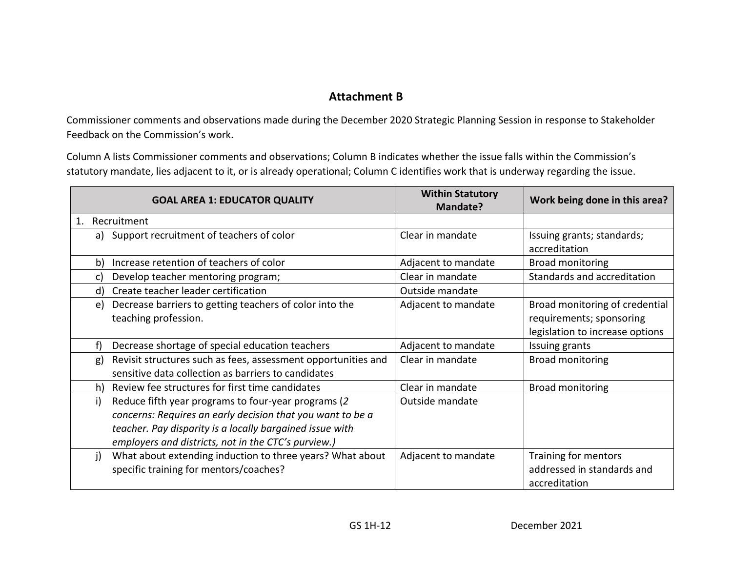# **Attachment B**

Commissioner comments and observations made during the December 2020 Strategic Planning Session in response to Stakeholder Feedback on the Commission's work.

Column A lists Commissioner comments and observations; Column B indicates whether the issue falls within the Commission's statutory mandate, lies adjacent to it, or is already operational; Column C identifies work that is underway regarding the issue.

|    | <b>GOAL AREA 1: EDUCATOR QUALITY</b>                                                                                                                                                                                                  | <b>Within Statutory</b><br><b>Mandate?</b> | Work being done in this area?                                                                 |
|----|---------------------------------------------------------------------------------------------------------------------------------------------------------------------------------------------------------------------------------------|--------------------------------------------|-----------------------------------------------------------------------------------------------|
| 1. | Recruitment                                                                                                                                                                                                                           |                                            |                                                                                               |
|    | a) Support recruitment of teachers of color                                                                                                                                                                                           | Clear in mandate                           | Issuing grants; standards;<br>accreditation                                                   |
| b) | Increase retention of teachers of color                                                                                                                                                                                               | Adjacent to mandate                        | <b>Broad monitoring</b>                                                                       |
| C) | Develop teacher mentoring program;                                                                                                                                                                                                    | Clear in mandate                           | Standards and accreditation                                                                   |
| d) | Create teacher leader certification                                                                                                                                                                                                   | Outside mandate                            |                                                                                               |
| e) | Decrease barriers to getting teachers of color into the<br>teaching profession.                                                                                                                                                       | Adjacent to mandate                        | Broad monitoring of credential<br>requirements; sponsoring<br>legislation to increase options |
|    | Decrease shortage of special education teachers                                                                                                                                                                                       | Adjacent to mandate                        | Issuing grants                                                                                |
| g) | Revisit structures such as fees, assessment opportunities and<br>sensitive data collection as barriers to candidates                                                                                                                  | Clear in mandate                           | <b>Broad monitoring</b>                                                                       |
|    | h) Review fee structures for first time candidates                                                                                                                                                                                    | Clear in mandate                           | <b>Broad monitoring</b>                                                                       |
| i) | Reduce fifth year programs to four-year programs (2)<br>concerns: Requires an early decision that you want to be a<br>teacher. Pay disparity is a locally bargained issue with<br>employers and districts, not in the CTC's purview.) | Outside mandate                            |                                                                                               |
| i) | What about extending induction to three years? What about<br>specific training for mentors/coaches?                                                                                                                                   | Adjacent to mandate                        | Training for mentors<br>addressed in standards and<br>accreditation                           |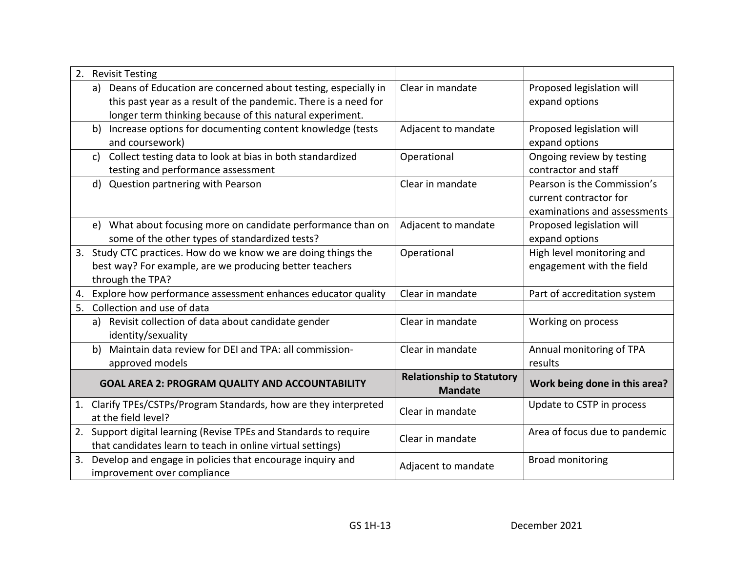| 2. |                                                        | <b>Revisit Testing</b>                                            |                                                    |                               |
|----|--------------------------------------------------------|-------------------------------------------------------------------|----------------------------------------------------|-------------------------------|
|    |                                                        | a) Deans of Education are concerned about testing, especially in  | Clear in mandate                                   | Proposed legislation will     |
|    |                                                        | this past year as a result of the pandemic. There is a need for   |                                                    | expand options                |
|    |                                                        | longer term thinking because of this natural experiment.          |                                                    |                               |
|    | b)                                                     | Increase options for documenting content knowledge (tests         | Adjacent to mandate                                | Proposed legislation will     |
|    |                                                        | and coursework)                                                   |                                                    | expand options                |
|    | c)                                                     | Collect testing data to look at bias in both standardized         | Operational                                        | Ongoing review by testing     |
|    |                                                        | testing and performance assessment                                |                                                    | contractor and staff          |
|    |                                                        | d) Question partnering with Pearson                               | Clear in mandate                                   | Pearson is the Commission's   |
|    |                                                        |                                                                   |                                                    | current contractor for        |
|    |                                                        |                                                                   |                                                    | examinations and assessments  |
|    | e)                                                     | What about focusing more on candidate performance than on         | Adjacent to mandate                                | Proposed legislation will     |
|    |                                                        | some of the other types of standardized tests?                    |                                                    | expand options                |
|    |                                                        | 3. Study CTC practices. How do we know we are doing things the    | Operational                                        | High level monitoring and     |
|    |                                                        | best way? For example, are we producing better teachers           |                                                    | engagement with the field     |
|    |                                                        | through the TPA?                                                  |                                                    |                               |
| 4. |                                                        | Explore how performance assessment enhances educator quality      | Clear in mandate                                   | Part of accreditation system  |
| 5. |                                                        | Collection and use of data                                        |                                                    |                               |
|    | a)                                                     | Revisit collection of data about candidate gender                 | Clear in mandate                                   | Working on process            |
|    |                                                        | identity/sexuality                                                |                                                    |                               |
|    | b)                                                     | Maintain data review for DEI and TPA: all commission-             | Clear in mandate                                   | Annual monitoring of TPA      |
|    |                                                        | approved models                                                   |                                                    | results                       |
|    | <b>GOAL AREA 2: PROGRAM QUALITY AND ACCOUNTABILITY</b> |                                                                   | <b>Relationship to Statutory</b><br><b>Mandate</b> | Work being done in this area? |
| 1. |                                                        | Clarify TPEs/CSTPs/Program Standards, how are they interpreted    |                                                    | Update to CSTP in process     |
|    |                                                        | at the field level?                                               | Clear in mandate                                   |                               |
|    |                                                        | 2. Support digital learning (Revise TPEs and Standards to require | Clear in mandate                                   | Area of focus due to pandemic |
|    |                                                        | that candidates learn to teach in online virtual settings)        |                                                    |                               |
| 3. |                                                        | Develop and engage in policies that encourage inquiry and         |                                                    | <b>Broad monitoring</b>       |
|    |                                                        | improvement over compliance                                       | Adjacent to mandate                                |                               |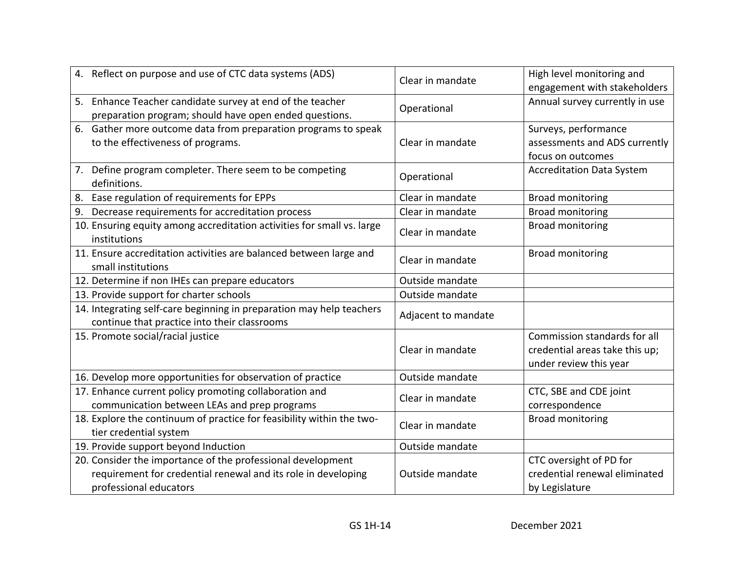| 4. Reflect on purpose and use of CTC data systems (ADS)                                                                                                | Clear in mandate    | High level monitoring and<br>engagement with stakeholders                                |
|--------------------------------------------------------------------------------------------------------------------------------------------------------|---------------------|------------------------------------------------------------------------------------------|
| 5. Enhance Teacher candidate survey at end of the teacher<br>preparation program; should have open ended questions.                                    | Operational         | Annual survey currently in use                                                           |
| 6. Gather more outcome data from preparation programs to speak<br>to the effectiveness of programs.                                                    | Clear in mandate    | Surveys, performance<br>assessments and ADS currently<br>focus on outcomes               |
| 7. Define program completer. There seem to be competing<br>definitions.                                                                                | Operational         | <b>Accreditation Data System</b>                                                         |
| Ease regulation of requirements for EPPs                                                                                                               | Clear in mandate    | Broad monitoring                                                                         |
| Decrease requirements for accreditation process<br>9.                                                                                                  | Clear in mandate    | <b>Broad monitoring</b>                                                                  |
| 10. Ensuring equity among accreditation activities for small vs. large<br>institutions                                                                 | Clear in mandate    | <b>Broad monitoring</b>                                                                  |
| 11. Ensure accreditation activities are balanced between large and<br>small institutions                                                               | Clear in mandate    | <b>Broad monitoring</b>                                                                  |
| 12. Determine if non IHEs can prepare educators                                                                                                        | Outside mandate     |                                                                                          |
| 13. Provide support for charter schools                                                                                                                | Outside mandate     |                                                                                          |
| 14. Integrating self-care beginning in preparation may help teachers<br>continue that practice into their classrooms                                   | Adjacent to mandate |                                                                                          |
| 15. Promote social/racial justice                                                                                                                      | Clear in mandate    | Commission standards for all<br>credential areas take this up;<br>under review this year |
| 16. Develop more opportunities for observation of practice                                                                                             | Outside mandate     |                                                                                          |
| 17. Enhance current policy promoting collaboration and<br>communication between LEAs and prep programs                                                 | Clear in mandate    | CTC, SBE and CDE joint<br>correspondence                                                 |
| 18. Explore the continuum of practice for feasibility within the two-<br>tier credential system                                                        | Clear in mandate    | <b>Broad monitoring</b>                                                                  |
| 19. Provide support beyond Induction                                                                                                                   | Outside mandate     |                                                                                          |
| 20. Consider the importance of the professional development<br>requirement for credential renewal and its role in developing<br>professional educators | Outside mandate     | CTC oversight of PD for<br>credential renewal eliminated<br>by Legislature               |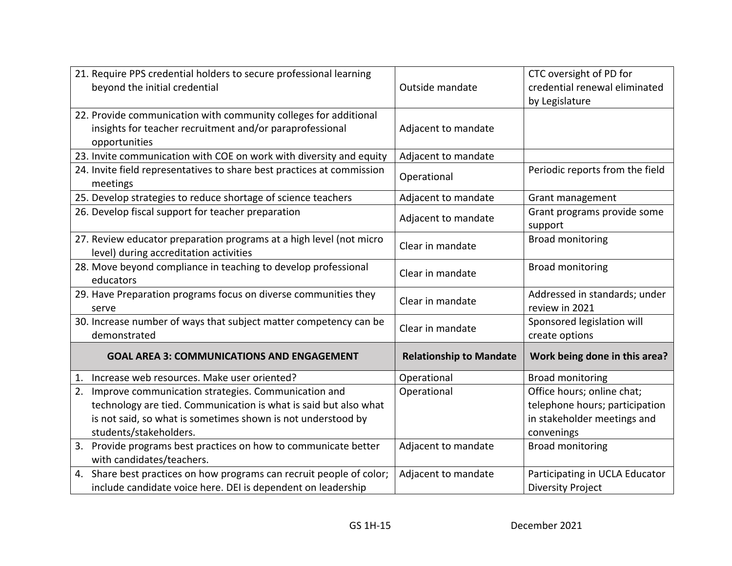| 21. Require PPS credential holders to secure professional learning                                            |                                | CTC oversight of PD for                |
|---------------------------------------------------------------------------------------------------------------|--------------------------------|----------------------------------------|
| beyond the initial credential                                                                                 | Outside mandate                | credential renewal eliminated          |
|                                                                                                               |                                | by Legislature                         |
| 22. Provide communication with community colleges for additional                                              |                                |                                        |
| insights for teacher recruitment and/or paraprofessional                                                      | Adjacent to mandate            |                                        |
| opportunities                                                                                                 |                                |                                        |
| 23. Invite communication with COE on work with diversity and equity                                           | Adjacent to mandate            |                                        |
| 24. Invite field representatives to share best practices at commission<br>meetings                            | Operational                    | Periodic reports from the field        |
| 25. Develop strategies to reduce shortage of science teachers                                                 | Adjacent to mandate            | Grant management                       |
| 26. Develop fiscal support for teacher preparation                                                            | Adjacent to mandate            | Grant programs provide some<br>support |
| 27. Review educator preparation programs at a high level (not micro<br>level) during accreditation activities | Clear in mandate               | <b>Broad monitoring</b>                |
| 28. Move beyond compliance in teaching to develop professional<br>educators                                   | Clear in mandate               | <b>Broad monitoring</b>                |
| 29. Have Preparation programs focus on diverse communities they                                               | Clear in mandate               | Addressed in standards; under          |
| serve                                                                                                         |                                | review in 2021                         |
| 30. Increase number of ways that subject matter competency can be                                             | Clear in mandate               | Sponsored legislation will             |
| demonstrated                                                                                                  |                                | create options                         |
| <b>GOAL AREA 3: COMMUNICATIONS AND ENGAGEMENT</b>                                                             | <b>Relationship to Mandate</b> | Work being done in this area?          |
| Increase web resources. Make user oriented?<br>1.                                                             | Operational                    | <b>Broad monitoring</b>                |
| 2. Improve communication strategies. Communication and                                                        | Operational                    | Office hours; online chat;             |
| technology are tied. Communication is what is said but also what                                              |                                | telephone hours; participation         |
| is not said, so what is sometimes shown is not understood by                                                  |                                | in stakeholder meetings and            |
| students/stakeholders.                                                                                        |                                | convenings                             |
| Provide programs best practices on how to communicate better<br>3.                                            | Adjacent to mandate            | <b>Broad monitoring</b>                |
| with candidates/teachers.                                                                                     |                                |                                        |
| 4. Share best practices on how programs can recruit people of color;                                          | Adjacent to mandate            | Participating in UCLA Educator         |
| include candidate voice here. DEI is dependent on leadership                                                  |                                | <b>Diversity Project</b>               |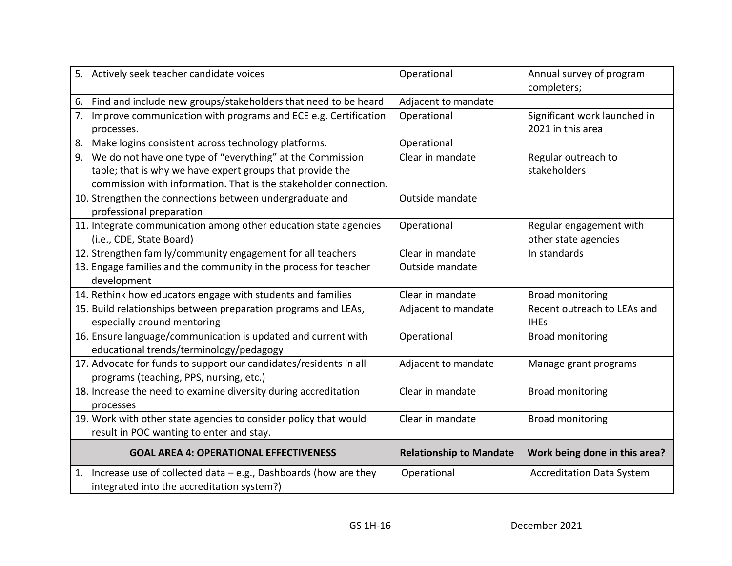| 5. Actively seek teacher candidate voices                             | Operational                    | Annual survey of program<br>completers; |
|-----------------------------------------------------------------------|--------------------------------|-----------------------------------------|
| Find and include new groups/stakeholders that need to be heard<br>6.  | Adjacent to mandate            |                                         |
| Improve communication with programs and ECE e.g. Certification        | Operational                    | Significant work launched in            |
| processes.                                                            |                                | 2021 in this area                       |
| Make logins consistent across technology platforms.                   | Operational                    |                                         |
| 9. We do not have one type of "everything" at the Commission          | Clear in mandate               | Regular outreach to                     |
| table; that is why we have expert groups that provide the             |                                | stakeholders                            |
| commission with information. That is the stakeholder connection.      |                                |                                         |
| 10. Strengthen the connections between undergraduate and              | Outside mandate                |                                         |
| professional preparation                                              |                                |                                         |
| 11. Integrate communication among other education state agencies      | Operational                    | Regular engagement with                 |
| (i.e., CDE, State Board)                                              |                                | other state agencies                    |
| 12. Strengthen family/community engagement for all teachers           | Clear in mandate               | In standards                            |
| 13. Engage families and the community in the process for teacher      | Outside mandate                |                                         |
| development                                                           |                                |                                         |
| 14. Rethink how educators engage with students and families           | Clear in mandate               | <b>Broad monitoring</b>                 |
| 15. Build relationships between preparation programs and LEAs,        | Adjacent to mandate            | Recent outreach to LEAs and             |
| especially around mentoring                                           |                                | <b>IHEs</b>                             |
| 16. Ensure language/communication is updated and current with         | Operational                    | <b>Broad monitoring</b>                 |
| educational trends/terminology/pedagogy                               |                                |                                         |
| 17. Advocate for funds to support our candidates/residents in all     | Adjacent to mandate            | Manage grant programs                   |
| programs (teaching, PPS, nursing, etc.)                               |                                |                                         |
| 18. Increase the need to examine diversity during accreditation       | Clear in mandate               | <b>Broad monitoring</b>                 |
| processes                                                             |                                |                                         |
| 19. Work with other state agencies to consider policy that would      | Clear in mandate               | <b>Broad monitoring</b>                 |
| result in POC wanting to enter and stay.                              |                                |                                         |
| <b>GOAL AREA 4: OPERATIONAL EFFECTIVENESS</b>                         | <b>Relationship to Mandate</b> | Work being done in this area?           |
| Increase use of collected data - e.g., Dashboards (how are they<br>1. | Operational                    | <b>Accreditation Data System</b>        |
| integrated into the accreditation system?)                            |                                |                                         |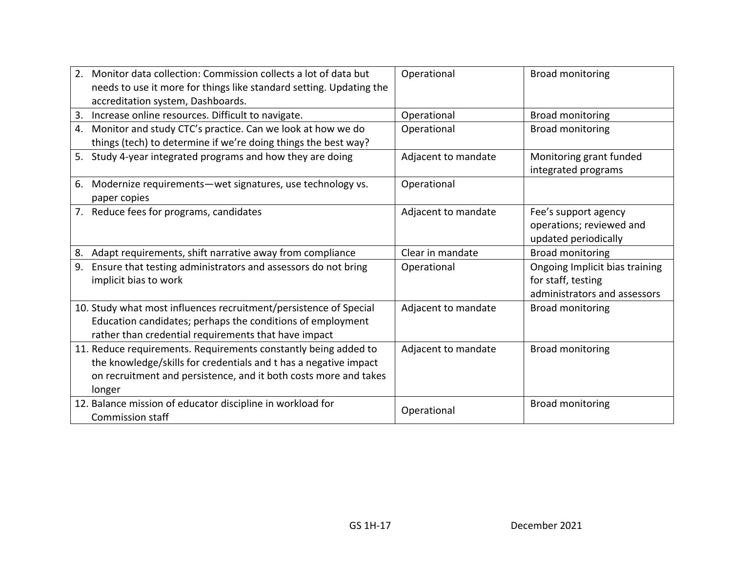| 2. | Monitor data collection: Commission collects a lot of data but              | Operational         | <b>Broad monitoring</b>        |
|----|-----------------------------------------------------------------------------|---------------------|--------------------------------|
|    | needs to use it more for things like standard setting. Updating the         |                     |                                |
|    | accreditation system, Dashboards.                                           |                     |                                |
| 3. | Increase online resources. Difficult to navigate.                           | Operational         | <b>Broad monitoring</b>        |
| 4. | Monitor and study CTC's practice. Can we look at how we do                  | Operational         | <b>Broad monitoring</b>        |
|    | things (tech) to determine if we're doing things the best way?              |                     |                                |
| 5. | Study 4-year integrated programs and how they are doing                     | Adjacent to mandate | Monitoring grant funded        |
|    |                                                                             |                     | integrated programs            |
| 6. | Modernize requirements - wet signatures, use technology vs.<br>paper copies | Operational         |                                |
|    | 7. Reduce fees for programs, candidates                                     | Adjacent to mandate | Fee's support agency           |
|    |                                                                             |                     | operations; reviewed and       |
|    |                                                                             |                     | updated periodically           |
| 8. | Adapt requirements, shift narrative away from compliance                    | Clear in mandate    | <b>Broad monitoring</b>        |
| 9. | Ensure that testing administrators and assessors do not bring               | Operational         | Ongoing Implicit bias training |
|    | implicit bias to work                                                       |                     | for staff, testing             |
|    |                                                                             |                     | administrators and assessors   |
|    | 10. Study what most influences recruitment/persistence of Special           | Adjacent to mandate | <b>Broad monitoring</b>        |
|    | Education candidates; perhaps the conditions of employment                  |                     |                                |
|    | rather than credential requirements that have impact                        |                     |                                |
|    | 11. Reduce requirements. Requirements constantly being added to             | Adjacent to mandate | <b>Broad monitoring</b>        |
|    | the knowledge/skills for credentials and t has a negative impact            |                     |                                |
|    | on recruitment and persistence, and it both costs more and takes            |                     |                                |
|    | longer                                                                      |                     |                                |
|    | 12. Balance mission of educator discipline in workload for                  | Operational         | <b>Broad monitoring</b>        |
|    | <b>Commission staff</b>                                                     |                     |                                |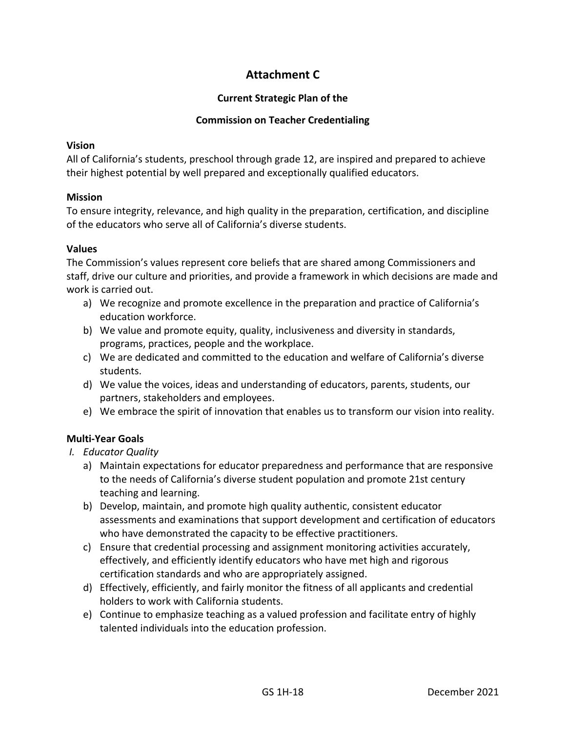## **Attachment C**

#### **Current Strategic Plan of the**

#### **Commission on Teacher Credentialing**

#### **Vision**

All of California's students, preschool through grade 12, are inspired and prepared to achieve their highest potential by well prepared and exceptionally qualified educators.

#### **Mission**

To ensure integrity, relevance, and high quality in the preparation, certification, and discipline of the educators who serve all of California's diverse students.

#### **Values**

The Commission's values represent core beliefs that are shared among Commissioners and staff, drive our culture and priorities, and provide a framework in which decisions are made and work is carried out.

- a) We recognize and promote excellence in the preparation and practice of California's education workforce.
- b) We value and promote equity, quality, inclusiveness and diversity in standards, programs, practices, people and the workplace.
- c) We are dedicated and committed to the education and welfare of California's diverse students.
- d) We value the voices, ideas and understanding of educators, parents, students, our partners, stakeholders and employees.
- e) We embrace the spirit of innovation that enables us to transform our vision into reality.

#### **Multi-Year Goals**

- *I. Educator Quality*
	- a) Maintain expectations for educator preparedness and performance that are responsive to the needs of California's diverse student population and promote 21st century teaching and learning.
	- b) Develop, maintain, and promote high quality authentic, consistent educator assessments and examinations that support development and certification of educators who have demonstrated the capacity to be effective practitioners.
	- c) Ensure that credential processing and assignment monitoring activities accurately, effectively, and efficiently identify educators who have met high and rigorous certification standards and who are appropriately assigned.
	- d) Effectively, efficiently, and fairly monitor the fitness of all applicants and credential holders to work with California students.
	- e) Continue to emphasize teaching as a valued profession and facilitate entry of highly talented individuals into the education profession.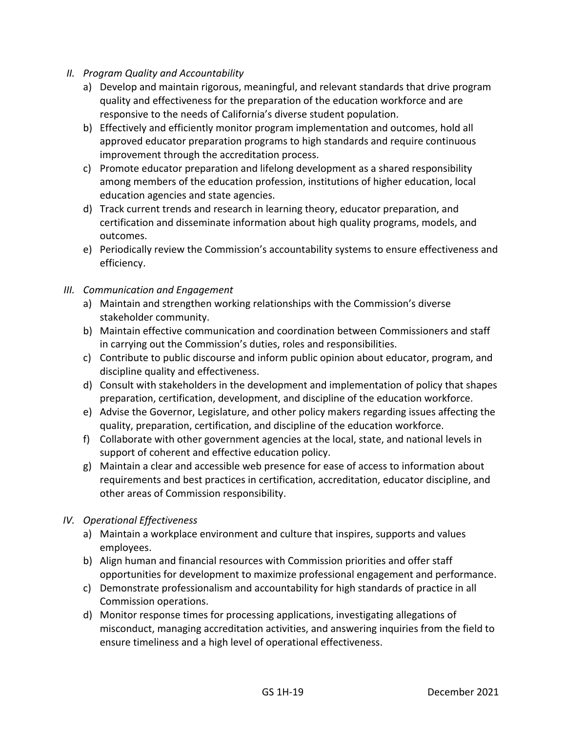- *II. Program Quality and Accountability*
	- a) Develop and maintain rigorous, meaningful, and relevant standards that drive program quality and effectiveness for the preparation of the education workforce and are responsive to the needs of California's diverse student population.
	- b) Effectively and efficiently monitor program implementation and outcomes, hold all approved educator preparation programs to high standards and require continuous improvement through the accreditation process.
	- c) Promote educator preparation and lifelong development as a shared responsibility among members of the education profession, institutions of higher education, local education agencies and state agencies.
	- d) Track current trends and research in learning theory, educator preparation, and certification and disseminate information about high quality programs, models, and outcomes.
	- e) Periodically review the Commission's accountability systems to ensure effectiveness and efficiency.
- *III. Communication and Engagement*
	- a) Maintain and strengthen working relationships with the Commission's diverse stakeholder community.
	- b) Maintain effective communication and coordination between Commissioners and staff in carrying out the Commission's duties, roles and responsibilities.
	- c) Contribute to public discourse and inform public opinion about educator, program, and discipline quality and effectiveness.
	- d) Consult with stakeholders in the development and implementation of policy that shapes preparation, certification, development, and discipline of the education workforce.
	- e) Advise the Governor, Legislature, and other policy makers regarding issues affecting the quality, preparation, certification, and discipline of the education workforce.
	- f) Collaborate with other government agencies at the local, state, and national levels in support of coherent and effective education policy.
	- g) Maintain a clear and accessible web presence for ease of access to information about requirements and best practices in certification, accreditation, educator discipline, and other areas of Commission responsibility.

#### *IV. Operational Effectiveness*

- a) Maintain a workplace environment and culture that inspires, supports and values employees.
- b) Align human and financial resources with Commission priorities and offer staff opportunities for development to maximize professional engagement and performance.
- c) Demonstrate professionalism and accountability for high standards of practice in all Commission operations.
- d) Monitor response times for processing applications, investigating allegations of misconduct, managing accreditation activities, and answering inquiries from the field to ensure timeliness and a high level of operational effectiveness.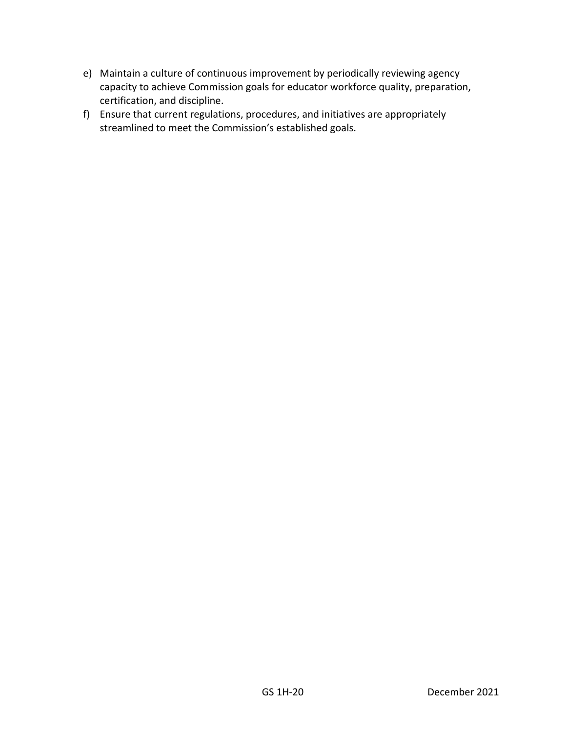- e) Maintain a culture of continuous improvement by periodically reviewing agency capacity to achieve Commission goals for educator workforce quality, preparation, certification, and discipline.
- f) Ensure that current regulations, procedures, and initiatives are appropriately streamlined to meet the Commission's established goals.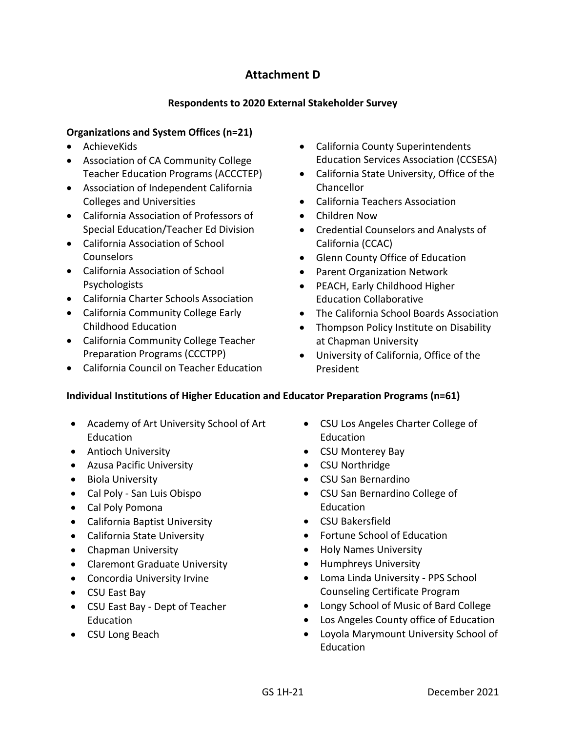## **Attachment D**

#### **Respondents to 2020 External Stakeholder Survey**

#### <span id="page-21-0"></span>**Organizations and System Offices (n=21)**

- AchieveKids
- Association of CA Community College Teacher Education Programs (ACCCTEP)
- Association of Independent California Colleges and Universities
- California Association of Professors of Special Education/Teacher Ed Division
- California Association of School **Counselors**
- California Association of School Psychologists
- California Charter Schools Association
- California Community College Early Childhood Education
- California Community College Teacher Preparation Programs (CCCTPP)
- California Council on Teacher Education
- California County Superintendents Education Services Association (CCSESA)
- California State University, Office of the Chancellor
- California Teachers Association
- Children Now
- Credential Counselors and Analysts of California (CCAC)
- Glenn County Office of Education
- Parent Organization Network
- PEACH, Early Childhood Higher Education Collaborative
- The California School Boards Association
- Thompson Policy Institute on Disability at Chapman University
- University of California, Office of the President

#### **Individual Institutions of Higher Education and Educator Preparation Programs (n=61)**

- Academy of Art University School of Art Education
- Antioch University
- Azusa Pacific University
- Biola University
- Cal Poly San Luis Obispo
- Cal Poly Pomona
- California Baptist University
- California State University
- Chapman University
- Claremont Graduate University
- Concordia University Irvine
- CSU East Bay
- CSU East Bay Dept of Teacher Education
- CSU Long Beach
- CSU Los Angeles Charter College of Education
- CSU Monterey Bay
- CSU Northridge
- CSU San Bernardino
- CSU San Bernardino College of Education
- CSU Bakersfield
- Fortune School of Education
- Holy Names University
- Humphreys University
- Loma Linda University PPS School Counseling Certificate Program
- Longy School of Music of Bard College
- Los Angeles County office of Education
- Loyola Marymount University School of Education